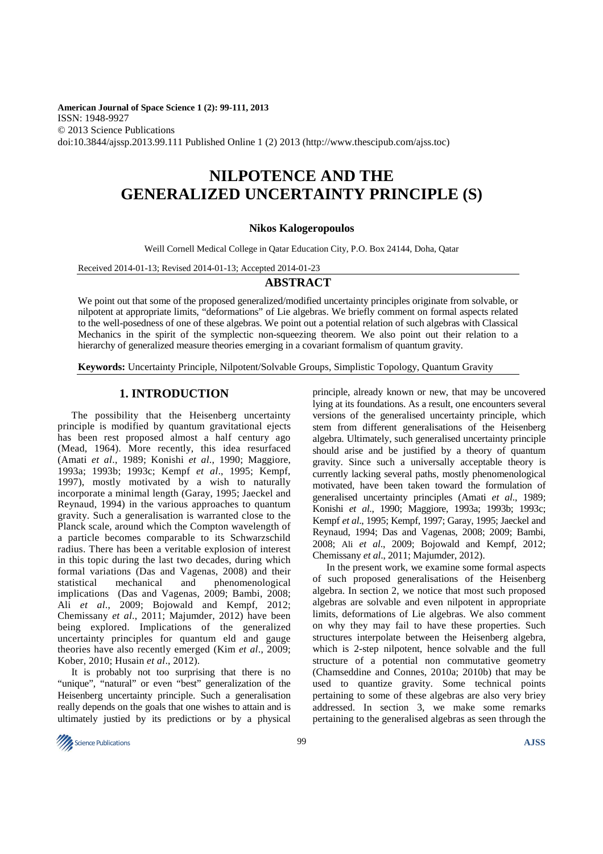**American Journal of Space Science 1 (2): 99-111, 2013**  ISSN: 1948-9927 © 2013 Science Publications doi:10.3844/ajssp.2013.99.111 Published Online 1 (2) 2013 (http://www.thescipub.com/ajss.toc)

# **NILPOTENCE AND THE GENERALIZED UNCERTAINTY PRINCIPLE (S)**

## **Nikos Kalogeropoulos**

Weill Cornell Medical College in Qatar Education City, P.O. Box 24144, Doha, Qatar

Received 2014-01-13; Revised 2014-01-13; Accepted 2014-01-23

## **ABSTRACT**

We point out that some of the proposed generalized/modified uncertainty principles originate from solvable, or nilpotent at appropriate limits, "deformations" of Lie algebras. We briefly comment on formal aspects related to the well-posedness of one of these algebras. We point out a potential relation of such algebras with Classical Mechanics in the spirit of the symplectic non-squeezing theorem. We also point out their relation to a hierarchy of generalized measure theories emerging in a covariant formalism of quantum gravity.

**Keywords:** Uncertainty Principle, Nilpotent/Solvable Groups, Simplistic Topology, Quantum Gravity

# **1. INTRODUCTION**

The possibility that the Heisenberg uncertainty principle is modified by quantum gravitational ejects has been rest proposed almost a half century ago (Mead, 1964). More recently, this idea resurfaced (Amati *et al*., 1989; Konishi *et al*., 1990; Maggiore, 1993a; 1993b; 1993c; Kempf *et al*., 1995; Kempf, 1997), mostly motivated by a wish to naturally incorporate a minimal length (Garay, 1995; Jaeckel and Reynaud, 1994) in the various approaches to quantum gravity. Such a generalisation is warranted close to the Planck scale, around which the Compton wavelength of a particle becomes comparable to its Schwarzschild radius. There has been a veritable explosion of interest in this topic during the last two decades, during which formal variations (Das and Vagenas, 2008) and their statistical mechanical and phenomenological implications (Das and Vagenas, 2009; Bambi, 2008; Ali *et al*., 2009; Bojowald and Kempf, 2012; Chemissany *et al*., 2011; Majumder, 2012) have been being explored. Implications of the generalized uncertainty principles for quantum eld and gauge theories have also recently emerged (Kim *et al*., 2009; Kober, 2010; Husain *et al*., 2012).

It is probably not too surprising that there is no "unique", "natural" or even "best" generalization of the Heisenberg uncertainty principle. Such a generalisation really depends on the goals that one wishes to attain and is ultimately justied by its predictions or by a physical

principle, already known or new, that may be uncovered lying at its foundations. As a result, one encounters several versions of the generalised uncertainty principle, which stem from different generalisations of the Heisenberg algebra. Ultimately, such generalised uncertainty principle should arise and be justified by a theory of quantum gravity. Since such a universally acceptable theory is currently lacking several paths, mostly phenomenological motivated, have been taken toward the formulation of generalised uncertainty principles (Amati *et al*., 1989; Konishi *et al*., 1990; Maggiore, 1993a; 1993b; 1993c; Kempf *et al*., 1995; Kempf, 1997; Garay, 1995; Jaeckel and Reynaud, 1994; Das and Vagenas, 2008; 2009; Bambi, 2008; Ali *et al*., 2009; Bojowald and Kempf, 2012; Chemissany *et al*., 2011; Majumder, 2012).

In the present work, we examine some formal aspects of such proposed generalisations of the Heisenberg algebra. In section 2, we notice that most such proposed algebras are solvable and even nilpotent in appropriate limits, deformations of Lie algebras. We also comment on why they may fail to have these properties. Such structures interpolate between the Heisenberg algebra, which is 2-step nilpotent, hence solvable and the full structure of a potential non commutative geometry (Chamseddine and Connes, 2010a; 2010b) that may be used to quantize gravity. Some technical points pertaining to some of these algebras are also very briey addressed. In section 3, we make some remarks pertaining to the generalised algebras as seen through the

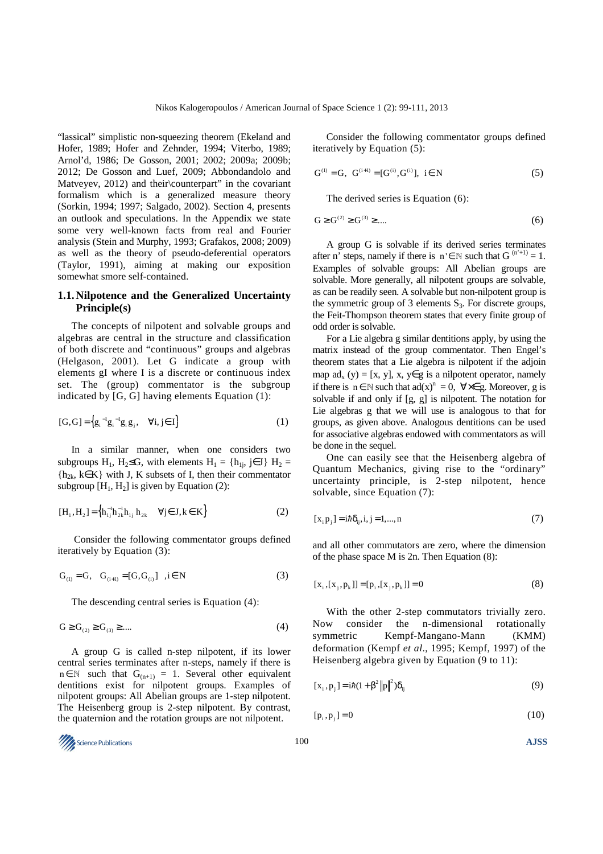"lassical" simplistic non-squeezing theorem (Ekeland and Hofer, 1989; Hofer and Zehnder, 1994; Viterbo, 1989; Arnol'd, 1986; De Gosson, 2001; 2002; 2009a; 2009b; 2012; De Gosson and Luef, 2009; Abbondandolo and Matveyev, 2012) and their counterpart" in the covariant formalism which is a generalized measure theory (Sorkin, 1994; 1997; Salgado, 2002). Section 4, presents an outlook and speculations. In the Appendix we state some very well-known facts from real and Fourier analysis (Stein and Murphy, 1993; Grafakos, 2008; 2009) as well as the theory of pseudo-deferential operators (Taylor, 1991), aiming at making our exposition somewhat smore self-contained.

## **1.1. Nilpotence and the Generalized Uncertainty Principle(s)**

The concepts of nilpotent and solvable groups and algebras are central in the structure and classification of both discrete and "continuous" groups and algebras (Helgason, 2001). Let G indicate a group with elements gI where I is a discrete or continuous index set. The (group) commentator is the subgroup indicated by [G, G] having elements Equation (1):

$$
[G,G] = \left\{ g_i^{-1} g_i^{-1} g_i g_j, \quad \forall i, j \in I \right\}
$$
 (1)

In a similar manner, when one considers two subgroups H<sub>1</sub>, H<sub>2</sub>≤G, with elements H<sub>1</sub> = {h<sub>1i</sub>, j∈J} H<sub>2</sub> =  ${h_{2k}, k \in K}$  with J, K subsets of I, then their commentator subgroup  $[H_1, H_2]$  is given by Equation (2):

$$
[H_1, H_2] = \left\{ h_{1j}^{-1} h_{2k}^{-1} h_{1j} h_{2k} \quad \forall j \in J, k \in K \right\}
$$
 (2)

 Consider the following commentator groups defined iteratively by Equation (3):

$$
G_{(1)} = G, \quad G_{(i+1)} = [G, G_{(i)}] \quad, i \in N
$$
 (3)

The descending central series is Equation (4):

$$
G \ge G_{(2)} \ge G_{(3)} \ge \dots \tag{4}
$$

A group G is called n-step nilpotent, if its lower central series terminates after n-steps, namely if there is  $n \in \mathbb{N}$  such that  $G_{(n+1)} = 1$ . Several other equivalent dentitions exist for nilpotent groups. Examples of nilpotent groups: All Abelian groups are 1-step nilpotent. The Heisenberg group is 2-step nilpotent. By contrast, the quaternion and the rotation groups are not nilpotent.

Consider the following commentator groups defined iteratively by Equation (5):

$$
G^{(i)} = G, \ G^{(i+1)} = [G^{(i)}, G^{(i)}], \ i \in N
$$
 (5)

The derived series is Equation (6):

$$
G \ge G^{(2)} \ge G^{(3)} \ge \dots \tag{6}
$$

A group G is solvable if its derived series terminates after n' steps, namely if there is  $n \in \mathbb{N}$  such that  $G^{(n'+1)} = 1$ . Examples of solvable groups: All Abelian groups are solvable. More generally, all nilpotent groups are solvable, as can be readily seen. A solvable but non-nilpotent group is the symmetric group of 3 elements  $S_3$ . For discrete groups, the Feit-Thompson theorem states that every finite group of odd order is solvable.

For a Lie algebra g similar dentitions apply, by using the matrix instead of the group commentator. Then Engel's theorem states that a Lie algebra is nilpotent if the adjoin map  $ad_x(y) = [x, y]$ , x, y∈g is a nilpotent operator, namely if there is  $n \in \mathbb{N}$  such that  $ad(x)^n = 0$ ,  $\forall x \in g$ . Moreover, g is solvable if and only if [g, g] is nilpotent. The notation for Lie algebras g that we will use is analogous to that for groups, as given above. Analogous dentitions can be used for associative algebras endowed with commentators as will be done in the sequel.

One can easily see that the Heisenberg algebra of Quantum Mechanics, giving rise to the "ordinary" uncertainty principle, is 2-step nilpotent, hence solvable, since Equation (7):

$$
[x_{i} p_{j}] = i\hbar \delta_{ij}, i, j = 1,...,n
$$
\n(7)

and all other commutators are zero, where the dimension of the phase space M is 2n. Then Equation (8):

$$
[x_i, [x_j, p_k]] = [p_i, [x_j, p_k]] = 0
$$
\n(8)

With the other 2-step commutators trivially zero. Now consider the n-dimensional rotationally symmetric Kempf-Mangano-Mann (KMM) deformation (Kempf *et al*., 1995; Kempf, 1997) of the Heisenberg algebra given by Equation (9 to 11):

$$
[x_{i}, p_{j}] = i\hbar (1 + \beta^{2} ||p||^{2}) \delta_{ij}
$$
 (9)

$$
[p_i, p_j] = 0 \tag{10}
$$

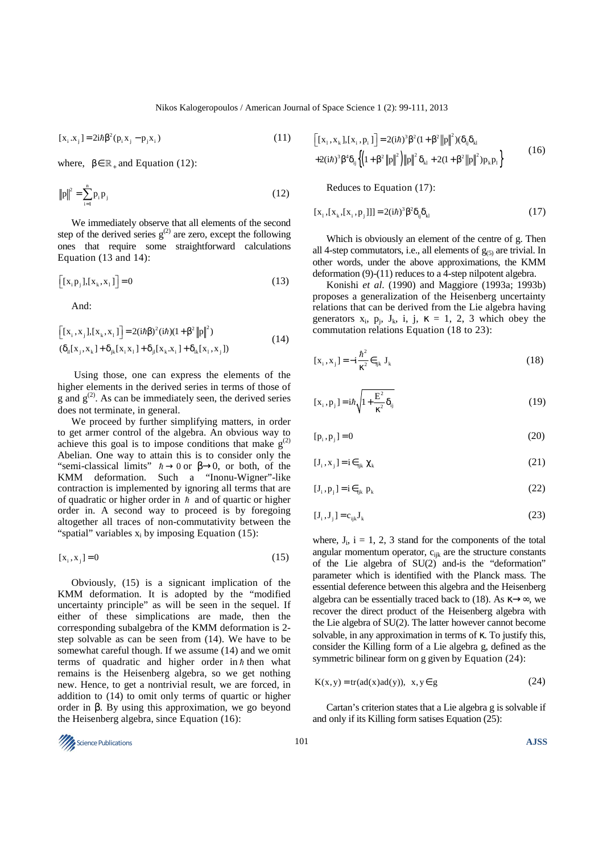$$
[x_i \cdot x_j] = 2i\hbar \beta^2 (p_i x_j - p_j x_i)
$$
 (11)

where,  $\beta \in \mathbb{R}_+$  and Equation (12):

$$
||p||^2 = \sum_{i=1}^{n} p_i p_j
$$
 (12)

We immediately observe that all elements of the second step of the derived series  $g^{(2)}$  are zero, except the following ones that require some straightforward calculations Equation (13 and 14):

$$
\left[ [x_{i} p_{j}], [x_{k}, x_{i}] \right] = 0 \tag{13}
$$

And:

$$
\begin{aligned} \left[ [x_{i}, x_{j}], [x_{k}, x_{i}] \right] &= 2(i\hbar\beta)^{2}(i\hbar)(1 + \beta^{2} \|p\|^{2}) \\ (\delta_{ii}[x_{j}, x_{k}] + \delta_{jk}[x_{i}x_{1}] + \delta_{ji}[x_{k}.x_{i}] + \delta_{ik}[x_{1}, x_{j}]) \end{aligned} \tag{14}
$$

 Using those, one can express the elements of the higher elements in the derived series in terms of those of  $g$  and  $g^{(2)}$ . As can be immediately seen, the derived series does not terminate, in general.

We proceed by further simplifying matters, in order to get armer control of the algebra. An obvious way to achieve this goal is to impose conditions that make  $g^{(2)}$ Abelian. One way to attain this is to consider only the "semi-classical limits"  $\hbar \rightarrow 0$  or  $\beta \rightarrow 0$ , or both, of the KMM deformation. Such a "Inonu-Wigner"-like contraction is implemented by ignoring all terms that are of quadratic or higher order in  $\hbar$  and of quartic or higher order in. A second way to proceed is by foregoing altogether all traces of non-commutativity between the "spatial" variables  $x_i$  by imposing Equation (15):

$$
[x_i, x_j] = 0 \tag{15}
$$

Obviously, (15) is a signicant implication of the KMM deformation. It is adopted by the "modified uncertainty principle" as will be seen in the sequel. If either of these simplications are made, then the corresponding subalgebra of the KMM deformation is 2 step solvable as can be seen from (14). We have to be somewhat careful though. If we assume (14) and we omit terms of quadratic and higher order in  $\hbar$  then what remains is the Heisenberg algebra, so we get nothing new. Hence, to get a nontrivial result, we are forced, in addition to (14) to omit only terms of quartic or higher order in β. By using this approximation, we go beyond the Heisenberg algebra, since Equation (16):

$$
\begin{aligned}\n\left[ [x_1, x_k], [x_i, p_i] \right] &= 2(i\hbar)^3 \beta^2 (1 + \beta^2 \|p\|^2) (\delta_{ij} \delta_{kl} \\
&+ 2(i\hbar)^3 \beta^4 \delta_{ij} \left\{ \left( 1 + \beta^2 \|p\|^2 \right) \|p\|^2 \delta_{kl} + 2(1 + \beta^2 \|p\|^2) p_k p_l \right\}\n\end{aligned}\n\tag{16}
$$

Reduces to Equation (17):

$$
[x_1, [x_k, [x_i, p_j]]] = 2(i\hbar)^3 \beta^2 \delta_{ij} \delta_{kl}
$$
 (17)

Which is obviously an element of the centre of g. Then all 4-step commutators, i.e., all elements of  $g_{(5)}$  are trivial. In other words, under the above approximations, the KMM deformation (9)-(11) reduces to a 4-step nilpotent algebra.

Konishi *et al*. (1990) and Maggiore (1993a; 1993b) proposes a generalization of the Heisenberg uncertainty relations that can be derived from the Lie algebra having generators  $x_i$ ,  $p_j$ ,  $J_k$ , i, j,  $\kappa = 1, 2, 3$  which obey the commutation relations Equation (18 to 23):

$$
[\mathbf{x}_{i}, \mathbf{x}_{j}] = -\mathbf{i}\frac{\hbar^{2}}{\kappa^{2}} \epsilon_{ijk} \mathbf{J}_{k}
$$
 (18)

$$
[\mathbf{x}_{i}, \mathbf{p}_{j}] = i\hbar \sqrt{1 + \frac{\mathbf{E}^{2}}{\kappa^{2}} \delta_{ij}} \tag{19}
$$

$$
[p_i, p_j] = 0 \tag{20}
$$

$$
[\mathbf{J}_i, \mathbf{x}_j] = \mathbf{i} \in \mathbf{K}_{ijk} \mathcal{X}_k \tag{21}
$$

$$
[J_i, p_j] = i \in \mathbb{R}^p
$$
 (22)

$$
[\mathbf{J}_i, \mathbf{J}_j] = \mathbf{c}_{ijk} \mathbf{J}_k \tag{23}
$$

where,  $J_i$ ,  $i = 1, 2, 3$  stand for the components of the total angular momentum operator, c<sub>ijk</sub> are the structure constants of the Lie algebra of SU(2) and-is the "deformation" parameter which is identified with the Planck mass. The essential deference between this algebra and the Heisenberg algebra can be essentially traced back to (18). As  $\kappa \rightarrow \infty$ , we recover the direct product of the Heisenberg algebra with the Lie algebra of SU(2). The latter however cannot become solvable, in any approximation in terms of κ. To justify this, consider the Killing form of a Lie algebra g, defined as the symmetric bilinear form on g given by Equation (24):

$$
K(x, y) = tr(ad(x)ad(y)), x, y \in g
$$
 (24)

Cartan's criterion states that a Lie algebra g is solvable if and only if its Killing form satises Equation (25):

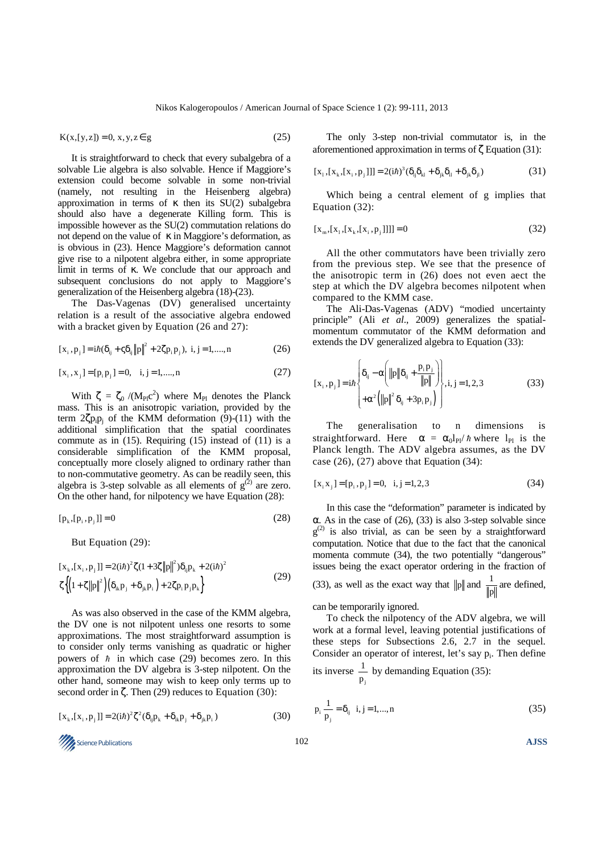$$
K(x,[y,z]) = 0, x, y, z \in g
$$
 (25)

It is straightforward to check that every subalgebra of a solvable Lie algebra is also solvable. Hence if Maggiore's extension could become solvable in some non-trivial (namely, not resulting in the Heisenberg algebra) approximation in terms of κ then its  $SU(2)$  subalgebra should also have a degenerate Killing form. This is impossible however as the SU(2) commutation relations do not depend on the value of  $κ$  in Maggiore's deformation, as is obvious in (23). Hence Maggiore's deformation cannot give rise to a nilpotent algebra either, in some appropriate limit in terms of κ. We conclude that our approach and subsequent conclusions do not apply to Maggiore's generalization of the Heisenberg algebra (18)-(23).

The Das-Vagenas (DV) generalised uncertainty relation is a result of the associative algebra endowed with a bracket given by Equation (26 and 27):

$$
[x_{i}, p_{j}] = i\hbar(\delta_{ij} + \zeta \delta_{ij} ||p||^{2} + 2\zeta p_{i} p_{j}), \ i, j = 1, ..., n
$$
 (26)

$$
[x_i, x_j] = [p_i p_j] = 0, \quad i, j = 1, \dots, n
$$
\n(27)

With  $\zeta = \zeta_0 / (M_{Pl} c^2)$  where  $M_{Pl}$  denotes the Planck mass. This is an anisotropic variation, provided by the term  $2\zeta p_i p_j$  of the KMM deformation (9)-(11) with the additional simplification that the spatial coordinates commute as in  $(15)$ . Requiring  $(15)$  instead of  $(11)$  is a considerable simplification of the KMM proposal, conceptually more closely aligned to ordinary rather than to non-commutative geometry. As can be readily seen, this algebra is 3-step solvable as all elements of  $g^{(2)}$  are zero. On the other hand, for nilpotency we have Equation (28):

$$
[p_k, [p_i, p_j]] = 0 \tag{28}
$$

But Equation (29):

$$
[x_{k}, [x_{i}, p_{j}]] = 2(i\hbar)^{2} \zeta (1 + 3\zeta ||p||^{2}) \delta_{ij} p_{k} + 2(i\hbar)^{2}
$$
  

$$
\zeta \left\{ \left( 1 + \zeta ||p||^{2} \right) \left( \delta_{ik} p_{j} + \delta_{jk} p_{i} \right) + 2\zeta p_{i} p_{j} p_{k} \right\}
$$
 (29)

As was also observed in the case of the KMM algebra, the DV one is not nilpotent unless one resorts to some approximations. The most straightforward assumption is to consider only terms vanishing as quadratic or higher powers of  $\hbar$  in which case (29) becomes zero. In this approximation the DV algebra is 3-step nilpotent. On the other hand, someone may wish to keep only terms up to second order in  $\zeta$ . Then (29) reduces to Equation (30):

$$
[x_{k}, [x_{i}, p_{j}]] = 2(i\hbar)^{2} \zeta^{2} (\delta_{ij} p_{k} + \delta_{ik} p_{j} + \delta_{jk} p_{i})
$$
\n(30)

The only 3-step non-trivial commutator is, in the aforementioned approximation in terms of  $\zeta$  Equation (31):

$$
[x_1, [x_k, [x_i, p_j]]] = 2(i\hbar)^3 (\delta_{ij}\delta_{kl} + \delta_{jk}\delta_{il} + \delta_{jk}\delta_{jl})
$$
\n(31)

Which being a central element of g implies that Equation (32):

$$
[x_{m}, [x_{1}, [x_{k}, [x_{i}, p_{j}]]]] = 0 \tag{32}
$$

All the other commutators have been trivially zero from the previous step. We see that the presence of the anisotropic term in (26) does not even aect the step at which the DV algebra becomes nilpotent when compared to the KMM case.

The Ali-Das-Vagenas (ADV) "modied uncertainty principle" (Ali *et al*., 2009) generalizes the spatialmomentum commutator of the KMM deformation and extends the DV generalized algebra to Equation (33):

$$
[\mathbf{x}_{i}, \mathbf{p}_{j}] = i\hbar \begin{cases} \delta_{ij} - \alpha \bigg( \|\mathbf{p}\| \delta_{ij} + \frac{\mathbf{p}_{i} \mathbf{p}_{j}}{\|\mathbf{p}\|} \bigg) \\ + \alpha^{2} \bigg( \|\mathbf{p}\|^{2} \delta_{ij} + 3 \mathbf{p}_{i} \mathbf{p}_{j} \bigg) \end{cases}
$$
 (33)

The generalisation to n dimensions is straightforward. Here  $\alpha = \alpha_0 l_{Pl} / \hbar$  where  $l_{Pl}$  is the Planck length. The ADV algebra assumes, as the DV case  $(26)$ ,  $(27)$  above that Equation  $(34)$ :

$$
[x_i x_j] = [p_i, p_j] = 0, \quad i, j = 1, 2, 3 \tag{34}
$$

In this case the "deformation" parameter is indicated by α. As in the case of (26), (33) is also 3-step solvable since  $g^{(2)}$  is also trivial, as can be seen by a straightforward computation. Notice that due to the fact that the canonical momenta commute (34), the two potentially "dangerous" issues being the exact operator ordering in the fraction of

(33), as well as the exact way that 
$$
||p||
$$
 and  $\frac{1}{||p||}$  are defined,

can be temporarily ignored.

To check the nilpotency of the ADV algebra, we will work at a formal level, leaving potential justifications of these steps for Subsections 2.6, 2.7 in the sequel. Consider an operator of interest, let's say  $p_i$ . Then define 1

its inverse 
$$
\frac{1}{p_j}
$$
 by demanding Equation (35):

$$
p_i \frac{1}{p_j} = \delta_{ij} \ \ i, j = 1, ..., n \tag{35}
$$

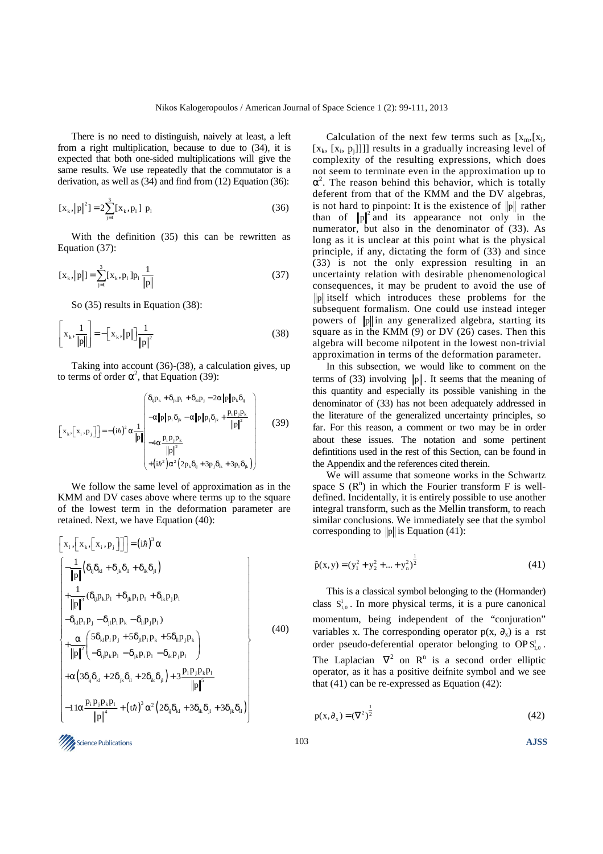There is no need to distinguish, naively at least, a left from a right multiplication, because to due to (34), it is expected that both one-sided multiplications will give the same results. We use repeatedly that the commutator is a derivation, as well as (34) and find from (12) Equation (36):

$$
[x_k, ||p||^2] = 2 \sum_{j=1}^{3} [x_k, p_j] p_j
$$
 (36)

With the definition (35) this can be rewritten as Equation (37):

$$
[x_k, ||p||] = \sum_{j=1}^{3} [x_k, p_j] p_j \frac{1}{||p||}
$$
 (37)

So (35) results in Equation (38):

$$
\left[ x_{k}, \frac{1}{\|p\|} \right] = -\left[ x_{k}, \|p\| \right] \frac{1}{\|p\|^{2}}
$$
 (38)

Taking into account (36)-(38), a calculation gives, up to terms of order  $\alpha^2$ , that Equation (39):

$$
\begin{bmatrix}\n\left[x_k, \left[x_i, p_j\right]\right] = -\left(i\hbar\right)^2 \alpha \frac{1}{\|p\|}\n\end{bmatrix}\n\begin{bmatrix}\n\delta_{ij}p_k + \delta_{jk}p_i + \delta_{ki}p_j - 2\alpha \|p\|p_k\delta_{ij} \\
-\alpha \|p\|p_i\delta_{jk} - \alpha \|p\|p_j\delta_{jk} + \frac{p_i p_j p_k}{\|p\|^2} \\
-4\alpha \frac{p_i p_j p_k}{\|p\|^2} \\
+\left(i\hbar^2\right)\alpha^2 \left(2p_k\delta_{ij} + 3p_j\delta_{ik} + 3p_i\delta_{jk}\right)\n\end{bmatrix} \tag{39}
$$

We follow the same level of approximation as in the KMM and DV cases above where terms up to the square of the lowest term in the deformation parameter are retained. Next, we have Equation (40):

$$
\begin{bmatrix}\nx_1, \left[x_k, \left[x_i, p_j\right]\right] \right] = (i\hbar)^3 \alpha \\
-\frac{1}{\|p\|} (\delta_{ij}\delta_{kl} + \delta_{jk}\delta_{il} + \delta_{ik}\delta_{jl}) \\
+\frac{1}{\|p\|^{3}} (\delta_{ij}p_kp_l + \delta_{jk}p_i p_l + \delta_{ik}p_jp_l) \\
-\delta_{kl}p_i p_j - \delta_{jl}p_i p_k - \delta_{il}p_j p_l) \\
+\frac{\alpha}{\|p\|^{2}} \left(\frac{5\delta_{kl}p_i p_j + 5\delta_{jl}p_i p_k + 5\delta_{il}p_j p_k}{-\delta_{il}p_i p_l - \delta_{ik}p_j p_l}\right) \\
+\alpha \left(3\delta_{ij}\delta_{kl} + 2\delta_{jk}\delta_{il} + 2\delta_{ik}\delta_{jl}\right) + 3\frac{p_i p_j p_k p_l}{\|p\|^{5}}\n\end{bmatrix}
$$
\n(40)

Calculation of the next few terms such as  $[x_m,[x_1,$  $[x_k, [x_i, p_j]]]$  results in a gradually increasing level of complexity of the resulting expressions, which does not seem to terminate even in the approximation up to  $\alpha^2$ . The reason behind this behavior, which is totally deferent from that of the KMM and the DV algebras, is not hard to pinpoint: It is the existence of  $||p||$  rather than of  $||p||^2$  and its appearance not only in the numerator, but also in the denominator of (33). As long as it is unclear at this point what is the physical principle, if any, dictating the form of (33) and since (33) is not the only expression resulting in an uncertainty relation with desirable phenomenological consequences, it may be prudent to avoid the use of p itself which introduces these problems for the subsequent formalism. One could use instead integer powers of  $\|\mathbf{p}\|$  in any generalized algebra, starting its square as in the KMM (9) or DV (26) cases. Then this algebra will become nilpotent in the lowest non-trivial approximation in terms of the deformation parameter.

In this subsection, we would like to comment on the terms of (33) involving  $\|\mathbf{p}\|$ . It seems that the meaning of this quantity and especially its possible vanishing in the denominator of (33) has not been adequately addressed in the literature of the generalized uncertainty principles, so far. For this reason, a comment or two may be in order about these issues. The notation and some pertinent defintitions used in the rest of this Section, can be found in the Appendix and the references cited therein.

We will assume that someone works in the Schwartz space S  $(R^n)$  in which the Fourier transform F is welldefined. Incidentally, it is entirely possible to use another integral transform, such as the Mellin transform, to reach similar conclusions. We immediately see that the symbol corresponding to  $||p||$  is Equation (41):

$$
\tilde{p}(x, y) = (y_1^2 + y_2^2 + ... + y_n^2)^{\frac{1}{2}}
$$
\n(41)

This is a classical symbol belonging to the (Hormander) class  $S<sub>1,0</sub>$ . In more physical terms, it is a pure canonical momentum, being independent of the "conjuration" variables x. The corresponding operator  $p(x, \partial_x)$  is a rst order pseudo-deferential operator belonging to  $OPS<sub>1,0</sub><sup>1</sup>$ . The Laplacian  $\nabla^2$  on  $\mathbb{R}^n$  is a second order elliptic operator, as it has a positive deifnite symbol and we see that (41) can be re-expressed as Equation (42):

$$
p(x, \partial_x) = (\nabla^2)^{\frac{1}{2}} \tag{42}
$$

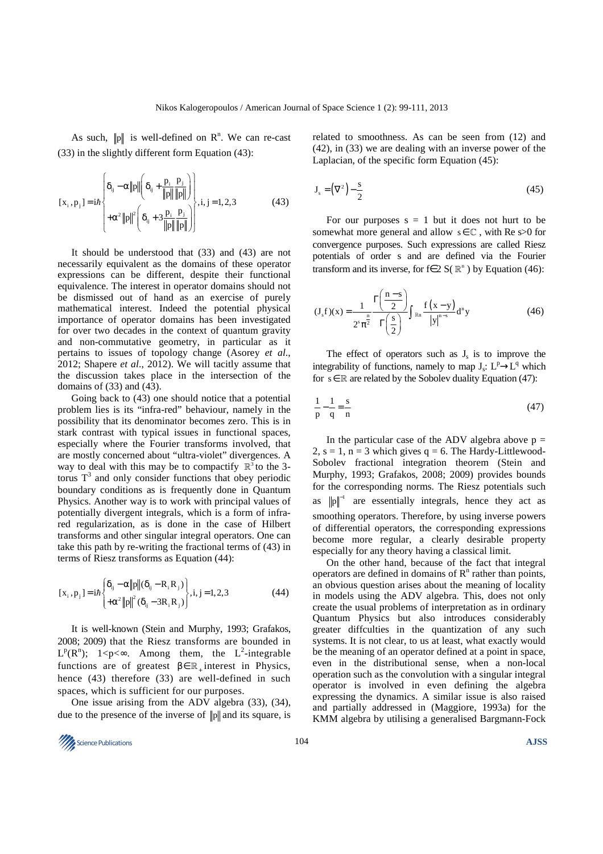As such,  $\|\mathbf{p}\|$  is well-defined on  $\mathbf{R}^n$ . We can re-cast (33) in the slightly different form Equation (43):

$$
[x_i, p_j] = i\hbar \begin{cases} \delta_{ij} - \alpha ||p|| \left( \delta_{ij} + \frac{p_i}{||p||} \frac{p_j}{||p||} \right) \\ + \alpha^2 ||p||^2 \left( \delta_{ij} + 3 \frac{p_i}{||p||} \frac{p_j}{||p||} \right) \end{cases}
$$
 (43)

It should be understood that (33) and (43) are not necessarily equivalent as the domains of these operator expressions can be different, despite their functional equivalence. The interest in operator domains should not be dismissed out of hand as an exercise of purely mathematical interest. Indeed the potential physical importance of operator domains has been investigated for over two decades in the context of quantum gravity and non-commutative geometry, in particular as it pertains to issues of topology change (Asorey *et al*., 2012; Shapere *et al*., 2012). We will tacitly assume that the discussion takes place in the intersection of the domains of (33) and (43).

Going back to (43) one should notice that a potential problem lies is its "infra-red" behaviour, namely in the possibility that its denominator becomes zero. This is in stark contrast with typical issues in functional spaces, especially where the Fourier transforms involved, that are mostly concerned about "ultra-violet" divergences. A way to deal with this may be to compactify  $\mathbb{R}^3$  to the 3torus  $T<sup>3</sup>$  and only consider functions that obey periodic boundary conditions as is frequently done in Quantum Physics. Another way is to work with principal values of potentially divergent integrals, which is a form of infrared regularization, as is done in the case of Hilbert transforms and other singular integral operators. One can take this path by re-writing the fractional terms of (43) in terms of Riesz transforms as Equation (44):

$$
[\mathbf{x}_{i}, \mathbf{p}_{j}] = i\hbar \begin{cases} \delta_{ij} - \alpha ||\mathbf{p}||(\delta_{ij} - \mathbf{R}_{i} \mathbf{R}_{j}) \\ + \alpha^{2} ||\mathbf{p}||^{2} (\delta_{ij} - 3\mathbf{R}_{i} \mathbf{R}_{j}) \end{cases}, i, j = 1, 2, 3
$$
(44)

It is well-known (Stein and Murphy, 1993; Grafakos, 2008; 2009) that the Riesz transforms are bounded in  $L^p(R^n)$ ;  $1 < p < \infty$ . Among them, the  $L^2$ -integrable functions are of greatest  $\beta \in \mathbb{R}_+$  interest in Physics, hence (43) therefore (33) are well-defined in such spaces, which is sufficient for our purposes.

One issue arising from the ADV algebra (33), (34), due to the presence of the inverse of  $\|\mathbf{p}\|$  and its square, is related to smoothness. As can be seen from (12) and (42), in (33) we are dealing with an inverse power of the Laplacian, of the specific form Equation (45):

$$
\mathbf{J}_s = \left(\nabla^2\right) - \frac{s}{2} \tag{45}
$$

For our purposes  $s = 1$  but it does not hurt to be somewhat more general and allow  $s \in \mathbb{C}$ , with Re s>0 for convergence purposes. Such expressions are called Riesz potentials of order s and are defined via the Fourier transform and its inverse, for f∈ 2 S( $\mathbb{R}^n$ ) by Equation (46):

$$
(Jsf)(x) = \frac{1}{2s \pi\frac{n}{2}} \frac{\Gamma\left(\frac{n-s}{2}\right)}{\Gamma\left(\frac{s}{2}\right)} \int_{\mathbb{R}^n} \frac{f(x-y)}{|y|^{n-s}} d^n y
$$
(46)

The effect of operators such as  $J_s$  is to improve the integrability of functions, namely to map  $J_s$ :  $L^p \rightarrow L^q$  which for  $s \in \mathbb{R}$  are related by the Sobolev duality Equation (47):

$$
\frac{1}{p} - \frac{1}{q} = \frac{s}{n}
$$
 (47)

In the particular case of the ADV algebra above  $p =$ 2,  $s = 1$ ,  $n = 3$  which gives  $q = 6$ . The Hardy-Littlewood-Sobolev fractional integration theorem (Stein and Murphy, 1993; Grafakos, 2008; 2009) provides bounds for the corresponding norms. The Riesz potentials such as  $p\|$ <sup>-1</sup> are essentially integrals, hence they act as smoothing operators. Therefore, by using inverse powers of differential operators, the corresponding expressions become more regular, a clearly desirable property especially for any theory having a classical limit.

On the other hand, because of the fact that integral operators are defined in domains of  $R<sup>n</sup>$  rather than points, an obvious question arises about the meaning of locality in models using the ADV algebra. This, does not only create the usual problems of interpretation as in ordinary Quantum Physics but also introduces considerably greater diffculties in the quantization of any such systems. It is not clear, to us at least, what exactly would be the meaning of an operator defined at a point in space, even in the distributional sense, when a non-local operation such as the convolution with a singular integral operator is involved in even defining the algebra expressing the dynamics. A similar issue is also raised and partially addressed in (Maggiore, 1993a) for the KMM algebra by utilising a generalised Bargmann-Fock

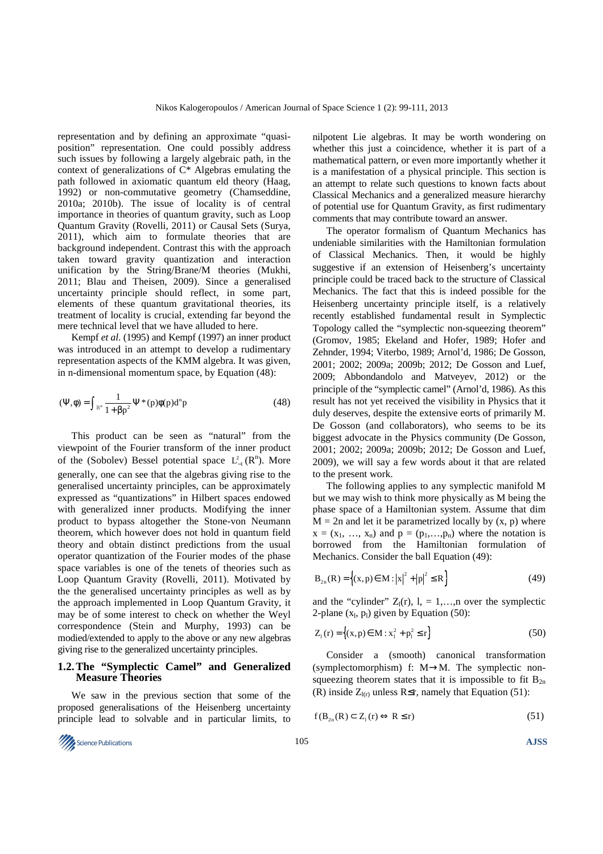representation and by defining an approximate "quasiposition" representation. One could possibly address such issues by following a largely algebraic path, in the context of generalizations of C\* Algebras emulating the path followed in axiomatic quantum eld theory (Haag, 1992) or non-commutative geometry (Chamseddine, 2010a; 2010b). The issue of locality is of central importance in theories of quantum gravity, such as Loop Quantum Gravity (Rovelli, 2011) or Causal Sets (Surya, 2011), which aim to formulate theories that are background independent. Contrast this with the approach taken toward gravity quantization and interaction unification by the String/Brane/M theories (Mukhi, 2011; Blau and Theisen, 2009). Since a generalised uncertainty principle should reflect, in some part, elements of these quantum gravitational theories, its treatment of locality is crucial, extending far beyond the mere technical level that we have alluded to here.

Kempf *et al*. (1995) and Kempf (1997) an inner product was introduced in an attempt to develop a rudimentary representation aspects of the KMM algebra. It was given, in n-dimensional momentum space, by Equation (48):

$$
(\Psi, \phi) = \int_{\mathbb{R}^n} \frac{1}{1 + \beta p^2} \Psi^*(p) \phi(p) d^n p \tag{48}
$$

This product can be seen as "natural" from the viewpoint of the Fourier transform of the inner product of the (Sobolev) Bessel potential space  $L^2_{-1}(R^n)$ . More generally, one can see that the algebras giving rise to the generalised uncertainty principles, can be approximately expressed as "quantizations" in Hilbert spaces endowed with generalized inner products. Modifying the inner product to bypass altogether the Stone-von Neumann theorem, which however does not hold in quantum field theory and obtain distinct predictions from the usual operator quantization of the Fourier modes of the phase space variables is one of the tenets of theories such as Loop Quantum Gravity (Rovelli, 2011). Motivated by the the generalised uncertainty principles as well as by the approach implemented in Loop Quantum Gravity, it may be of some interest to check on whether the Weyl correspondence (Stein and Murphy, 1993) can be modied/extended to apply to the above or any new algebras giving rise to the generalized uncertainty principles.

## **1.2. The "Symplectic Camel" and Generalized Measure Theories**

We saw in the previous section that some of the proposed generalisations of the Heisenberg uncertainty principle lead to solvable and in particular limits, to nilpotent Lie algebras. It may be worth wondering on whether this just a coincidence, whether it is part of a mathematical pattern, or even more importantly whether it is a manifestation of a physical principle. This section is an attempt to relate such questions to known facts about Classical Mechanics and a generalized measure hierarchy of potential use for Quantum Gravity, as first rudimentary comments that may contribute toward an answer. The operator formalism of Quantum Mechanics has

undeniable similarities with the Hamiltonian formulation of Classical Mechanics. Then, it would be highly suggestive if an extension of Heisenberg's uncertainty principle could be traced back to the structure of Classical Mechanics. The fact that this is indeed possible for the Heisenberg uncertainty principle itself, is a relatively recently established fundamental result in Symplectic Topology called the "symplectic non-squeezing theorem" (Gromov, 1985; Ekeland and Hofer, 1989; Hofer and Zehnder, 1994; Viterbo, 1989; Arnol'd, 1986; De Gosson, 2001; 2002; 2009a; 2009b; 2012; De Gosson and Luef, 2009; Abbondandolo and Matveyev, 2012) or the principle of the "symplectic camel" (Arnol'd, 1986). As this result has not yet received the visibility in Physics that it duly deserves, despite the extensive eorts of primarily M. De Gosson (and collaborators), who seems to be its biggest advocate in the Physics community (De Gosson, 2001; 2002; 2009a; 2009b; 2012; De Gosson and Luef, 2009), we will say a few words about it that are related to the present work.

The following applies to any symplectic manifold M but we may wish to think more physically as M being the phase space of a Hamiltonian system. Assume that dim  $M = 2n$  and let it be parametrized locally by  $(x, p)$  where  $x = (x_1, ..., x_n)$  and  $p = (p_1, ..., p_n)$  where the notation is borrowed from the Hamiltonian formulation of Mechanics. Consider the ball Equation (49):

$$
B_{2n}(R) = \{(x, p) \in M : |x|^2 + |p|^2 \le R\}
$$
 (49)

and the "cylinder"  $Z_1(r)$ ,  $l = 1,...,n$  over the symplectic 2-plane  $(x_1, p_1)$  given by Equation (50):

$$
Z_1(r) = \{(x, p) \in M : x_1^2 + p_1^2 \le r\}
$$
 (50)

Consider a (smooth) canonical transformation (symplectomorphism) f: M→M. The symplectic nonsqueezing theorem states that it is impossible to fit  $B_{2n}$ (R) inside  $Z_{I(r)}$  unless R≤r, namely that Equation (51):

$$
f(B_{2n}(R) \subset Z_1(r) \Leftrightarrow R \le r)
$$
\n<sup>(51)</sup>

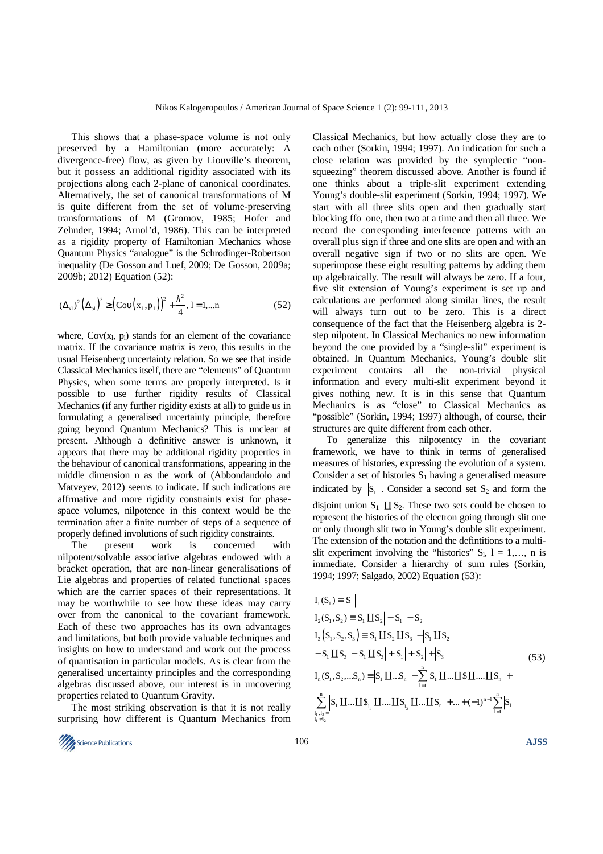This shows that a phase-space volume is not only preserved by a Hamiltonian (more accurately: A divergence-free) flow, as given by Liouville's theorem, but it possess an additional rigidity associated with its projections along each 2-plane of canonical coordinates. Alternatively, the set of canonical transformations of M is quite different from the set of volume-preserving transformations of M (Gromov, 1985; Hofer and Zehnder, 1994; Arnol'd, 1986). This can be interpreted as a rigidity property of Hamiltonian Mechanics whose Quantum Physics "analogue" is the Schrodinger-Robertson inequality (De Gosson and Luef, 2009; De Gosson, 2009a; 2009b; 2012) Equation (52):

$$
(\Delta_{x1})^2 (\Delta_{p1})^2 \ge \left( \text{Cov} \big( x_1, p_1 \big) \right)^2 + \frac{\hbar^2}{4}, 1 = 1, \dots n \tag{52}
$$

where,  $Cov(x_1, p_1)$  stands for an element of the covariance matrix. If the covariance matrix is zero, this results in the usual Heisenberg uncertainty relation. So we see that inside Classical Mechanics itself, there are "elements" of Quantum Physics, when some terms are properly interpreted. Is it possible to use further rigidity results of Classical Mechanics (if any further rigidity exists at all) to guide us in formulating a generalised uncertainty principle, therefore going beyond Quantum Mechanics? This is unclear at present. Although a definitive answer is unknown, it appears that there may be additional rigidity properties in the behaviour of canonical transformations, appearing in the middle dimension n as the work of (Abbondandolo and Matveyev, 2012) seems to indicate. If such indications are affrmative and more rigidity constraints exist for phasespace volumes, nilpotence in this context would be the termination after a finite number of steps of a sequence of properly defined involutions of such rigidity constraints.

The present work is concerned with nilpotent/solvable associative algebras endowed with a bracket operation, that are non-linear generalisations of Lie algebras and properties of related functional spaces which are the carrier spaces of their representations. It may be worthwhile to see how these ideas may carry over from the canonical to the covariant framework. Each of these two approaches has its own advantages and limitations, but both provide valuable techniques and insights on how to understand and work out the process of quantisation in particular models. As is clear from the generalised uncertainty principles and the corresponding algebras discussed above, our interest is in uncovering properties related to Quantum Gravity.

The most striking observation is that it is not really surprising how different is Quantum Mechanics from

Classical Mechanics, but how actually close they are to each other (Sorkin, 1994; 1997). An indication for such a close relation was provided by the symplectic "nonsqueezing" theorem discussed above. Another is found if one thinks about a triple-slit experiment extending Young's double-slit experiment (Sorkin, 1994; 1997). We start with all three slits open and then gradually start blocking ffo one, then two at a time and then all three. We record the corresponding interference patterns with an overall plus sign if three and one slits are open and with an overall negative sign if two or no slits are open. We superimpose these eight resulting patterns by adding them up algebraically. The result will always be zero. If a four, five slit extension of Young's experiment is set up and calculations are performed along similar lines, the result will always turn out to be zero. This is a direct consequence of the fact that the Heisenberg algebra is 2 step nilpotent. In Classical Mechanics no new information beyond the one provided by a "single-slit" experiment is obtained. In Quantum Mechanics, Young's double slit experiment contains all the non-trivial physical information and every multi-slit experiment beyond it gives nothing new. It is in this sense that Quantum Mechanics is as "close" to Classical Mechanics as "possible" (Sorkin, 1994; 1997) although, of course, their structures are quite different from each other.

To generalize this nilpotentcy in the covariant framework, we have to think in terms of generalised measures of histories, expressing the evolution of a system. Consider a set of histories  $S_1$  having a generalised measure indicated by  $|S_1|$ . Consider a second set  $S_2$  and form the disjoint union  $S_1$   $\coprod S_2$ . These two sets could be chosen to represent the histories of the electron going through slit one or only through slit two in Young's double slit experiment. The extension of the notation and the defintitions to a multislit experiment involving the "histories"  $S_l$ ,  $l = 1,..., n$  is immediate. Consider a hierarchy of sum rules (Sorkin, 1994; 1997; Salgado, 2002) Equation (53):

$$
I_{1}(S_{1}) = |S_{1}|
$$
  
\n
$$
I_{2}(S_{1}, S_{2}) = |S_{1} \text{ I } S_{2}| - |S_{1}| - |S_{2}|
$$
  
\n
$$
I_{3}(S_{1}, S_{2}, S_{3}) = |S_{1} \text{ I } S_{2} \text{ I } S_{3}| - |S_{1} \text{ I } S_{2}|
$$
  
\n
$$
-|S_{1} \text{ I } S_{3}| - |S_{1} \text{ I } S_{3}| + |S_{1}| + |S_{2}| + |S_{3}|
$$
  
\n
$$
I_{n}(S_{1}, S_{2}, ... S_{n}) = |S_{1} \text{ I } I ... S_{n}| - \sum_{i=1}^{n} |S_{1} \text{ I } I ... \text{ I } S \text{ I } I ... \text{ I } S_{n}| + \sum_{i=1}^{n} |S_{1} \text{ I } I ... \text{ I } I S_{i} |
$$
  
\n
$$
\sum_{i_{1}, i_{2} =}^{n} |S_{1} \text{ I } I ... \text{ I } I S_{i_{1}} \text{ I } I ... \text{ I } I S_{i_{2}} \text{ I } ... \text{ I } I S_{n}| + ... + (-1)^{n+1} \sum_{i=1}^{n} |S_{i}|
$$
  
\n(53)

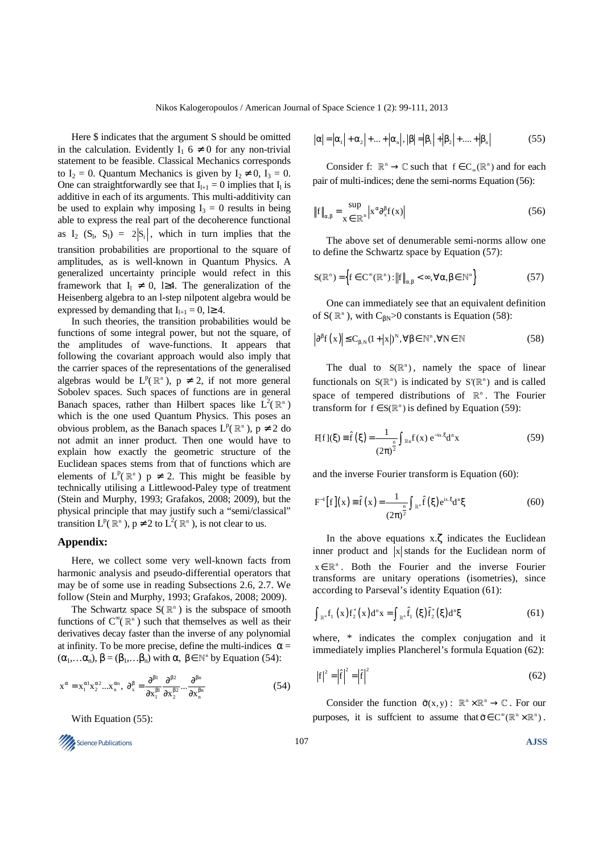Here \$ indicates that the argument S should be omitted in the calculation. Evidently  $I_1$  6  $\neq$  0 for any non-trivial statement to be feasible. Classical Mechanics corresponds to  $I_2 = 0$ . Quantum Mechanics is given by  $I_2 \neq 0$ ,  $I_3 = 0$ . One can straightforwardly see that  $I_{l+1} = 0$  implies that  $I_l$  is additive in each of its arguments. This multi-additivity can be used to explain why imposing  $I_3 = 0$  results in being able to express the real part of the decoherence functional as  $I_2$  (S<sub>1</sub>, S<sub>1</sub>) = 2|S<sub>1</sub>|, which in turn implies that the transition probabilities are proportional to the square of amplitudes, as is well-known in Quantum Physics. A generalized uncertainty principle would refect in this framework that  $I_1 \neq 0$ , l≥4. The generalization of the Heisenberg algebra to an l-step nilpotent algebra would be expressed by demanding that  $I_{l+1} = 0$ , l≥ 4.

In such theories, the transition probabilities would be functions of some integral power, but not the square, of the amplitudes of wave-functions. It appears that following the covariant approach would also imply that the carrier spaces of the representations of the generalised algebras would be  $L^p(\mathbb{R}^n)$ ,  $p \neq 2$ , if not more general Sobolev spaces. Such spaces of functions are in general Banach spaces, rather than Hilbert spaces like  $L^2(\mathbb{R}^n)$ which is the one used Quantum Physics. This poses an obvious problem, as the Banach spaces  $L^p(\mathbb{R}^n)$ ,  $p \neq 2$  do not admit an inner product. Then one would have to explain how exactly the geometric structure of the Euclidean spaces stems from that of functions which are elements of  $L^p(\mathbb{R}^n)$  p  $\neq$  2. This might be feasible by technically utilising a Littlewood-Paley type of treatment (Stein and Murphy, 1993; Grafakos, 2008; 2009), but the physical principle that may justify such a "semi/classical" transition  $L^p(\mathbb{R}^n)$ ,  $p \neq 2$  to  $L^2(\mathbb{R}^n)$ , is not clear to us.

#### **Appendix:**

Here, we collect some very well-known facts from harmonic analysis and pseudo-differential operators that may be of some use in reading Subsections 2.6, 2.7. We follow (Stein and Murphy, 1993; Grafakos, 2008; 2009).

The Schwartz space  $S(\mathbb{R}^n)$  is the subspace of smooth functions of  $C^{\infty}(\mathbb{R}^n)$  such that themselves as well as their derivatives decay faster than the inverse of any polynomial at infinity. To be more precise, define the multi-indices  $\alpha =$  $(\alpha_1, \dots \alpha_n)$ ,  $\beta = (\beta_1, \dots \beta_n)$  with  $\alpha$ ,  $\beta \in \mathbb{N}^n$  by Equation (54):

$$
\mathbf{x}^{\alpha} = \mathbf{x}_1^{\alpha 1} \mathbf{x}_2^{\alpha 2} \dots \mathbf{x}_n^{\alpha n}, \ \partial_x^{\beta} = \frac{\partial^{\beta 1}}{\partial \mathbf{x}_1^{\beta 1}} \frac{\partial^{\beta 2}}{\partial \mathbf{x}_2^{\beta 2}} \dots \frac{\partial^{\beta n}}{\partial \mathbf{x}_n^{\beta n}}
$$
(54)

With Equation (55):



$$
|\alpha| = |\alpha_1| + \alpha_2| + \dots + |\alpha_n|, |\beta| = |\beta_1| + |\beta_2| + \dots + |\beta_n|
$$
 (55)

Consider f:  $\mathbb{R}^n \to \mathbb{C}$  such that  $f \in C_{\infty}(\mathbb{R}^n)$  and for each pair of multi-indices; dene the semi-norms Equation (56):

$$
\|f\|_{\alpha,\beta} = \frac{\sup}{x \in \mathbb{R}^n} |x^{\alpha} \partial_x^{\beta} f(x)| \tag{56}
$$

The above set of denumerable semi-norms allow one to define the Schwartz space by Equation (57):

$$
S(\mathbb{R}^n) = \left\{ f \in C^{\infty}(\mathbb{R}^n) : \left\| f \right\|_{\alpha, \beta} < \infty, \forall \alpha, \beta \in \mathbb{N}^n \right\}
$$
 (57)

One can immediately see that an equivalent definition of  $S(\mathbb{R}^n)$ , with  $C_{\beta N} > 0$  constants is Equation (58):

$$
\left|\partial^{\beta}f\left(x\right)\right|\leq C_{\beta,N}\left(1+|x|\right)^{N},\forall\beta\in\mathbb{N}^{n},\forall N\in\mathbb{N}\tag{58}
$$

The dual to  $S(\mathbb{R}^n)$ , namely the space of linear functionals on  $S(\mathbb{R}^n)$  is indicated by  $S'(\mathbb{R}^n)$  and is called space of tempered distributions of  $\mathbb{R}^n$ . The Fourier transform for  $f \in S(\mathbb{R}^n)$  is defined by Equation (59):

$$
F[f](\xi) = \hat{f}(\xi) = \frac{1}{(2\pi)^{\frac{n}{2}}} \int_{\mathbb{R}^n} f(x) e^{-ix \cdot \xi} d^n x
$$
 (59)

and the inverse Fourier transform is Equation (60):

$$
F^{-1}[f](x) = \hat{f}(x) = \frac{1}{(2\pi)^{\frac{n}{2}}} \int_{\mathbb{R}^n} \hat{f}(\xi) e^{ix \cdot \xi} d^n \xi
$$
 (60)

In the above equations x.ζ indicates the Euclidean inner product and  $|x|$  stands for the Euclidean norm of  $x \in \mathbb{R}^n$ . Both the Fourier and the inverse Fourier transforms are unitary operations (isometries), since according to Parseval's identity Equation (61):

$$
\int_{\mathbb{R}^n} f_1(x) f_2^*(x) d^n x = \int_{\mathbb{R}^n} \hat{f}_1(\xi) \hat{f}_2^*(\xi) d^n \xi
$$
 (61)

where, \* indicates the complex conjugation and it immediately implies Plancherel's formula Equation (62):

$$
|f|^2 = |\hat{f}|^2 = |\hat{f}|^2
$$
 (62)

Consider the function  $\tilde{\sigma}(x,y)$ :  $\mathbb{R}^n \times \mathbb{R}^n \to \mathbb{C}$ . For our purposes, it is sufficient to assume that  $\bar{\sigma} \in C^{\infty}(\mathbb{R}^n \times \mathbb{R}^n)$ .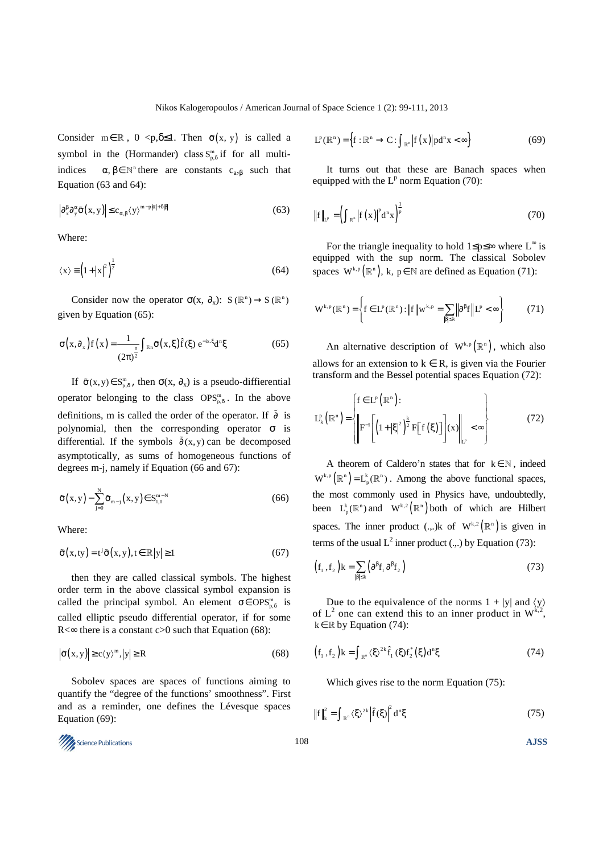Consider  $m \in \mathbb{R}$ ,  $0 \le p, \delta \le 1$ . Then  $\tilde{\sigma}(x, y)$  is called a symbol in the (Hormander) class  $S_{p,\delta}^m$  if for all multiindices  $\alpha, \beta \in \mathbb{N}^n$  there are constants  $c_{a}, \beta$  such that Equation (63 and 64):

$$
\left|\partial_x^{\beta}\partial_y^{\alpha}\tilde{\sigma}(x,y)\right| \le c_{\alpha,\beta}\langle y\rangle^{m-p|\alpha|+\delta|\beta|}\tag{63}
$$

Where:

$$
\langle x \rangle = \left(1 + |x|^2\right)^{\frac{1}{2}}\tag{64}
$$

Consider now the operator  $\sigma(x, \partial_x)$ :  $S(\mathbb{R}^n) \to S(\mathbb{R}^n)$ given by Equation (65):

$$
\sigma\left(x,\partial_{x}\right)f\left(x\right) = \frac{1}{\left(2\pi\right)^{\frac{n}{2}}}\int_{\mathbb{R}^{n}}\tilde{\sigma}\left(x,\xi\right)\hat{f}\left(\xi\right)e^{-ix.\xi}d^{n}\xi\tag{65}
$$

If  $\tilde{\sigma}(x, y) \in S^m_{p,\delta}$ , then  $\sigma(x, \partial_x)$  is a pseudo-diffierential operator belonging to the class  $\text{OPS}_{p,\delta}^m$ . In the above definitions, m is called the order of the operator. If  $\tilde{\partial}$  is polynomial, then the corresponding operator  $\sigma$  is differential. If the symbols  $\tilde{\partial}(x, y)$  can be decomposed asymptotically, as sums of homogeneous functions of degrees m-j, namely if Equation (66 and 67):

$$
\tilde{\sigma}(x, y) - \sum_{j=0}^{N} \tilde{\sigma}_{m-j}(x, y) \in S_{1,0}^{m-N}
$$
 (66)

Where:

$$
\tilde{\sigma}(x,ty) = t^j \tilde{\sigma}(x,y), t \in \mathbb{R}|y| \ge 1
$$
\n(67)

then they are called classical symbols. The highest order term in the above classical symbol expansion is called the principal symbol. An element  $\sigma \in OPS_{p,\delta}^m$  is called elliptic pseudo differential operator, if for some  $R \leq \infty$  there is a constant c>0 such that Equation (68):

$$
\left| \tilde{\sigma}(x, y) \right| \ge c \langle y \rangle^m, |y| \ge R \tag{68}
$$

Sobolev spaces are spaces of functions aiming to quantify the "degree of the functions' smoothness". First and as a reminder, one defines the Lévesque spaces Equation (69):

Science Publications 108 **AJSS** 

$$
L^{p}(\mathbb{R}^{n}) = \left\{ f: \mathbb{R}^{n} \to C: \int_{\mathbb{R}^{n}} \left| f(x) \right| p d^{n} x < \infty \right\}
$$
 (69)

It turns out that these are Banach spaces when equipped with the  $L^p$  norm Equation (70):

$$
\|f\|_{L^p} = \left(\int_{R^n} |f(x)|^p d^n x\right)^{\frac{1}{p}}\tag{70}
$$

For the triangle inequality to hold  $1 \le p \le \infty$  where  $L^{\infty}$  is equipped with the sup norm. The classical Sobolev spaces  $W^{k,p}(\mathbb{R}^n)$ , k, p ∈ N are defined as Equation (71):

$$
\mathbf{W}^{k,p}(\mathbb{R}^n) = \left\{ \mathbf{f} \in \mathbf{L}^p(\mathbb{R}^n) : \left\| \mathbf{f} \right\| \mathbf{w}^{k,p} = \sum_{\left| \beta \right| \leq k} \left\| \partial^{\beta} \mathbf{f} \right\| \mathbf{L}^p < \infty \right\} \tag{71}
$$

An alternative description of  $W^{k,p}(\mathbb{R}^n)$ , which also allows for an extension to  $k \in R$ , is given via the Fourier transform and the Bessel potential spaces Equation (72):

$$
\mathbf{L}_{k}^{p}\left(\mathbb{R}^{n}\right) = \left\{\begin{aligned} &\mathbf{f} \in \mathbf{L}^{p}\left(\mathbb{R}^{n}\right): \\ &\left\|\mathbf{F}^{-1}\left[\left(1+|\xi|^{2}\right)^{\frac{k}{2}}\mathbf{F}\left[\mathbf{f}\left(\xi\right)\right]\right](x)\right\|_{\mathbf{L}^{p}} < \infty \end{aligned}\right\} \tag{72}
$$

A theorem of Caldero'n states that for  $k \in \mathbb{N}$ , indeed  $W^{k,p}(\mathbb{R}^n) = L_p^k(\mathbb{R}^n)$ . Among the above functional spaces, the most commonly used in Physics have, undoubtedly, been  $L_n^k(\mathbb{R}^n)$  and  $W^{k,2}(\mathbb{R}^n)$  both of which are Hilbert spaces. The inner product (.,.)k of  $W^{k,2}(\mathbb{R}^n)$  is given in terms of the usual  $L^2$  inner product (...) by Equation (73):

$$
(f_1, f_2)k = \sum_{|\beta| \le k} (\partial^{\beta} f_1 \partial^{\beta} f_2)
$$
 (73)

Due to the equivalence of the norms  $1 + |y|$  and  $\langle y \rangle$ of  $L^2$  one can extend this to an inner product in  $W^{k,2}$ ,  $k \in \mathbb{R}$  by Equation (74):

$$
(f_1, f_2)k = \int_{\mathbb{R}^n} \langle \xi \rangle^{2k} \hat{f}_1 (\xi) f_2^* (\xi) d^n \xi
$$
 (74)

Which gives rise to the norm Equation (75):

$$
\left\|f\right\|_{k}^{2} = \int_{\mathbb{R}^{n}} \left\langle \xi \right\rangle^{2k} \left|\hat{f}(\xi)\right|^{2} d^{n}\xi
$$
 (75)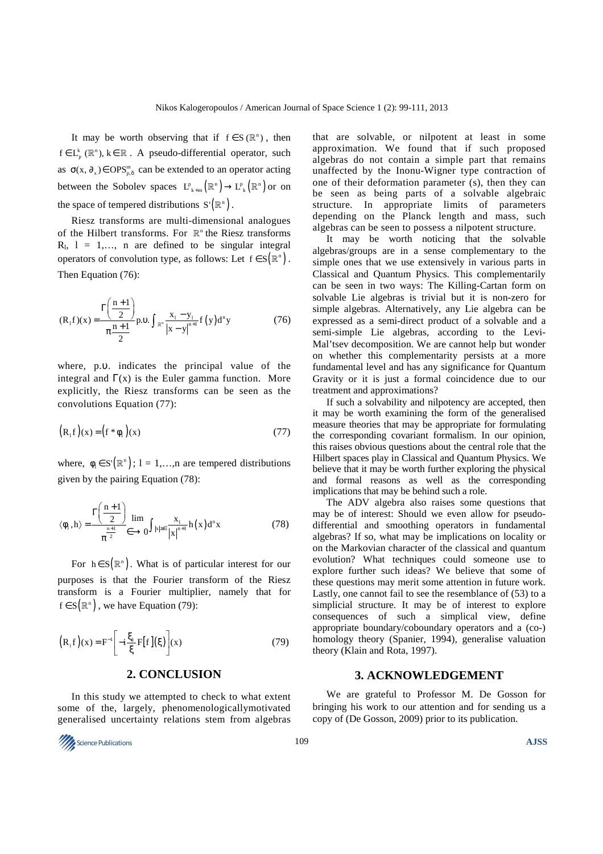It may be worth observing that if  $f \in S(\mathbb{R}^n)$ , then  $f \in L_p^k(\mathbb{R}^n)$ ,  $k \in \mathbb{R}$ . A pseudo-differential operator, such as  $\sigma(x, \partial_x) \in \text{OPS}_{p,\delta}^m$  can be extended to an operator acting between the Sobolev spaces  $L_{k+m}^p(\mathbb{R}^n) \to L_k^p(\mathbb{R}^n)$  or on the space of tempered distributions  $S'(\mathbb{R}^n)$ .

Riesz transforms are multi-dimensional analogues of the Hilbert transforms. For  $\mathbb{R}^n$  the Riesz transforms  $R_1$ ,  $l = 1,..., n$  are defined to be singular integral operators of convolution type, as follows: Let  $f \in S(\mathbb{R}^n)$ . Then Equation (76):

$$
(\mathbf{R}_{1}\mathbf{f})(\mathbf{x}) = \frac{\Gamma\left(\frac{\mathbf{n}+1}{2}\right)}{\pi\frac{\mathbf{n}+1}{2}}\mathbf{p}.\mathbf{0}.\int_{\mathbb{R}^{n}}\frac{\mathbf{x}_{1}-\mathbf{y}_{1}}{|\mathbf{x}-\mathbf{y}|^{n+1}}\mathbf{f}\left(\mathbf{y}\right)d^{n}\mathbf{y}
$$
(76)

where, p.υ. indicates the principal value of the integral and  $\Gamma(x)$  is the Euler gamma function. More explicitly, the Riesz transforms can be seen as the convolutions Equation (77):

$$
\left(R_1 f\right)(x) = \left(f^* \phi_1\right)(x) \tag{77}
$$

where,  $\phi_1 \in S'(\mathbb{R}^n)$ ; l = 1,…,n are tempered distributions given by the pairing Equation (78):

$$
\langle \phi_1, h \rangle = \frac{\Gamma\left(\frac{n+1}{2}\right)}{\pi^{\frac{n+1}{2}}} \lim_{\epsilon \to 0} \int_{|x| \ge \epsilon} \frac{x_1}{|x|^{n+1}} h(x) d^n x \tag{78}
$$

For  $h \in S(\mathbb{R}^n)$ . What is of particular interest for our purposes is that the Fourier transform of the Riesz transform is a Fourier multiplier, namely that for  $f \in S(\mathbb{R}^n)$ , we have Equation (79):

$$
\left(\mathbf{R}_{\mathrm{i}}\mathbf{f}\right)(\mathbf{x}) = \mathbf{F}^{-1} \left[-i\frac{\xi_1}{\xi}\mathbf{F}[\mathbf{f}](\xi)\right](\mathbf{x})\tag{79}
$$

## **2. CONCLUSION**

In this study we attempted to check to what extent some of the, largely, phenomenologicallymotivated generalised uncertainty relations stem from algebras



that are solvable, or nilpotent at least in some approximation. We found that if such proposed algebras do not contain a simple part that remains unaffected by the Inonu-Wigner type contraction of one of their deformation parameter (s), then they can be seen as being parts of a solvable algebraic structure. In appropriate limits of parameters depending on the Planck length and mass, such algebras can be seen to possess a nilpotent structure.

It may be worth noticing that the solvable algebras/groups are in a sense complementary to the simple ones that we use extensively in various parts in Classical and Quantum Physics. This complementarily can be seen in two ways: The Killing-Cartan form on solvable Lie algebras is trivial but it is non-zero for simple algebras. Alternatively, any Lie algebra can be expressed as a semi-direct product of a solvable and a semi-simple Lie algebras, according to the Levi-Mal'tsev decomposition. We are cannot help but wonder on whether this complementarity persists at a more fundamental level and has any significance for Quantum Gravity or it is just a formal coincidence due to our treatment and approximations?

If such a solvability and nilpotency are accepted, then it may be worth examining the form of the generalised measure theories that may be appropriate for formulating the corresponding covariant formalism. In our opinion, this raises obvious questions about the central role that the Hilbert spaces play in Classical and Quantum Physics. We believe that it may be worth further exploring the physical and formal reasons as well as the corresponding implications that may be behind such a role.

The ADV algebra also raises some questions that may be of interest: Should we even allow for pseudodifferential and smoothing operators in fundamental algebras? If so, what may be implications on locality or on the Markovian character of the classical and quantum evolution? What techniques could someone use to explore further such ideas? We believe that some of these questions may merit some attention in future work. Lastly, one cannot fail to see the resemblance of (53) to a simplicial structure. It may be of interest to explore consequences of such a simplical view, define appropriate boundary/coboundary operators and a (co-) homology theory (Spanier, 1994), generalise valuation theory (Klain and Rota, 1997).

#### **3. ACKNOWLEDGEMENT**

We are grateful to Professor M. De Gosson for bringing his work to our attention and for sending us a copy of (De Gosson, 2009) prior to its publication.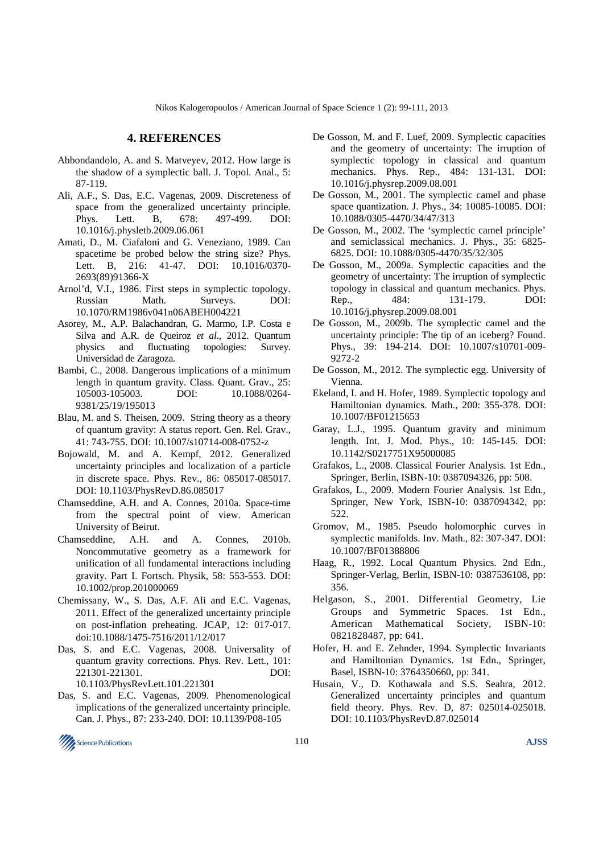## **4. REFERENCES**

- Abbondandolo, A. and S. Matveyev, 2012. How large is the shadow of a symplectic ball. J. Topol. Anal., 5: 87-119.
- Ali, A.F., S. Das, E.C. Vagenas, 2009. Discreteness of space from the generalized uncertainty principle. Phys. Lett. B, 678: 497-499. DOI: 10.1016/j.physletb.2009.06.061
- Amati, D., M. Ciafaloni and G. Veneziano, 1989. Can spacetime be probed below the string size? Phys. Lett. B, 216: 41-47. DOI: 10.1016/0370-2693(89)91366-X
- Arnol'd, V.I., 1986. First steps in symplectic topology. Russian Math. Surveys. DOI: 10.1070/RM1986v041n06ABEH004221
- Asorey, M., A.P. Balachandran, G. Marmo, I.P. Costa e Silva and A.R. de Queiroz *et al*., 2012. Quantum physics and fluctuating topologies: Survey. Universidad de Zaragoza.
- Bambi, C., 2008. Dangerous implications of a minimum length in quantum gravity. Class. Quant. Grav., 25: 105003-105003. DOI: 10.1088/0264- 9381/25/19/195013
- Blau, M. and S. Theisen, 2009. String theory as a theory of quantum gravity: A status report. Gen. Rel. Grav., 41: 743-755. DOI: 10.1007/s10714-008-0752-z
- Bojowald, M. and A. Kempf, 2012. Generalized uncertainty principles and localization of a particle in discrete space. Phys. Rev., 86: 085017-085017. DOI: 10.1103/PhysRevD.86.085017
- Chamseddine, A.H. and A. Connes, 2010a. Space-time from the spectral point of view. American University of Beirut.
- Chamseddine, A.H. and A. Connes, 2010b. Noncommutative geometry as a framework for unification of all fundamental interactions including gravity. Part I. Fortsch. Physik, 58: 553-553. DOI: 10.1002/prop.201000069
- Chemissany, W., S. Das, A.F. Ali and E.C. Vagenas, 2011. Effect of the generalized uncertainty principle on post-inflation preheating. JCAP, 12: 017-017. doi:10.1088/1475-7516/2011/12/017
- Das, S. and E.C. Vagenas, 2008. Universality of quantum gravity corrections. Phys. Rev. Lett., 101: 221301-221301. DOI: 10.1103/PhysRevLett.101.221301
- Das, S. and E.C. Vagenas, 2009. Phenomenological implications of the generalized uncertainty principle. Can. J. Phys., 87: 233-240. DOI: 10.1139/P08-105
- De Gosson, M. and F. Luef, 2009. Symplectic capacities and the geometry of uncertainty: The irruption of symplectic topology in classical and quantum mechanics. Phys. Rep., 484: 131-131. DOI: 10.1016/j.physrep.2009.08.001
- De Gosson, M., 2001. The symplectic camel and phase space quantization. J. Phys., 34: 10085-10085. DOI: 10.1088/0305-4470/34/47/313
- De Gosson, M., 2002. The 'symplectic camel principle' and semiclassical mechanics. J. Phys., 35: 6825- 6825. DOI: 10.1088/0305-4470/35/32/305
- De Gosson, M., 2009a. Symplectic capacities and the geometry of uncertainty: The irruption of symplectic topology in classical and quantum mechanics. Phys. Rep., 484: 131-179. DOI: 10.1016/j.physrep.2009.08.001
- De Gosson, M., 2009b. The symplectic camel and the uncertainty principle: The tip of an iceberg? Found. Phys., 39: 194-214. DOI: 10.1007/s10701-009- 9272-2
- De Gosson, M., 2012. The symplectic egg. University of Vienna.
- Ekeland, I. and H. Hofer, 1989. Symplectic topology and Hamiltonian dynamics. Math., 200: 355-378. DOI: 10.1007/BF01215653
- Garay, L.J., 1995. Quantum gravity and minimum length. Int. J. Mod. Phys., 10: 145-145. DOI: 10.1142/S0217751X95000085
- Grafakos, L., 2008. Classical Fourier Analysis. 1st Edn., Springer, Berlin, ISBN-10: 0387094326, pp: 508.
- Grafakos, L., 2009. Modern Fourier Analysis. 1st Edn., Springer, New York, ISBN-10: 0387094342, pp: 522.
- Gromov, M., 1985. Pseudo holomorphic curves in symplectic manifolds. Inv. Math., 82: 307-347. DOI: 10.1007/BF01388806
- Haag, R., 1992. Local Quantum Physics. 2nd Edn., Springer-Verlag, Berlin, ISBN-10: 0387536108, pp: 356.
- Helgason, S., 2001. Differential Geometry, Lie Groups and Symmetric Spaces. 1st Edn., American Mathematical Society, ISBN-10: 0821828487, pp: 641.
- Hofer, H. and E. Zehnder, 1994. Symplectic Invariants and Hamiltonian Dynamics. 1st Edn., Springer, Basel, ISBN-10: 3764350660, pp: 341.
- Husain, V., D. Kothawala and S.S. Seahra, 2012. Generalized uncertainty principles and quantum field theory. Phys. Rev. D, 87: 025014-025018. DOI: 10.1103/PhysRevD.87.025014